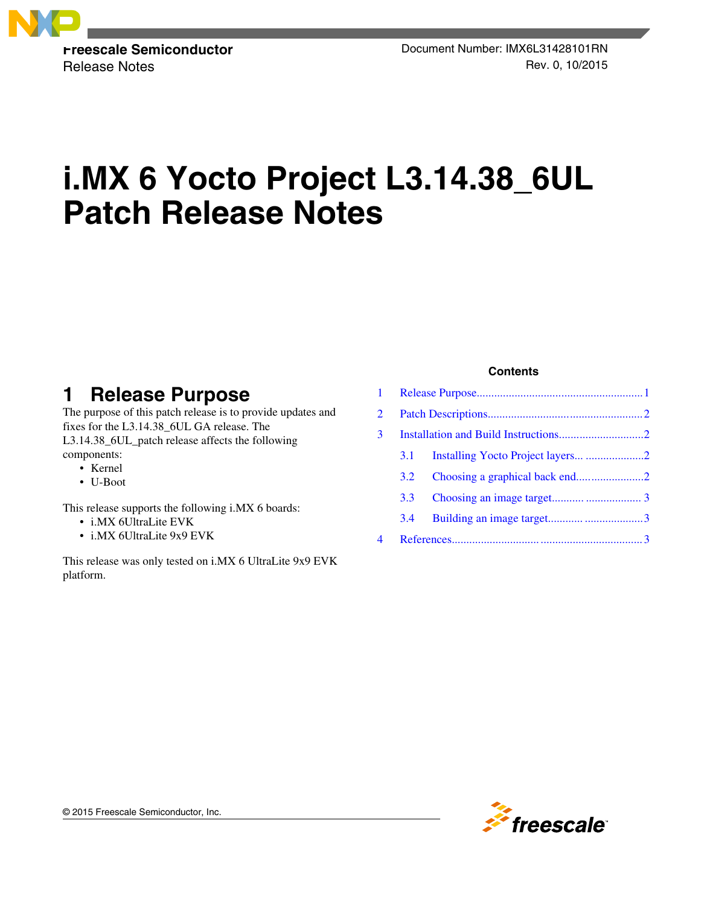

# **i.MX 6 Yocto Project L3.14.38\_6UL Patch Release Notes**

# **1 Release Purpose**

The purpose of this patch release is to provide updates and fixes for the L3.14.38\_6UL GA release. The L3.14.38\_6UL\_patch release affects the following components:

- Kernel
- U-Boot

This release supports the following i.MX 6 boards:

- i.MX 6UltraLite EVK
- i.MX 6UltraLite 9x9 EVK

This release was only tested on i.MX 6 UltraLite 9x9 EVK platform.

#### **Contents**

| $1 \quad$      |                  |  |  |  |
|----------------|------------------|--|--|--|
| $\overline{2}$ |                  |  |  |  |
| 3              |                  |  |  |  |
|                | 3.1              |  |  |  |
|                | 3.2              |  |  |  |
|                | 3.3 <sup>2</sup> |  |  |  |
|                | 3.4              |  |  |  |
| 4              |                  |  |  |  |

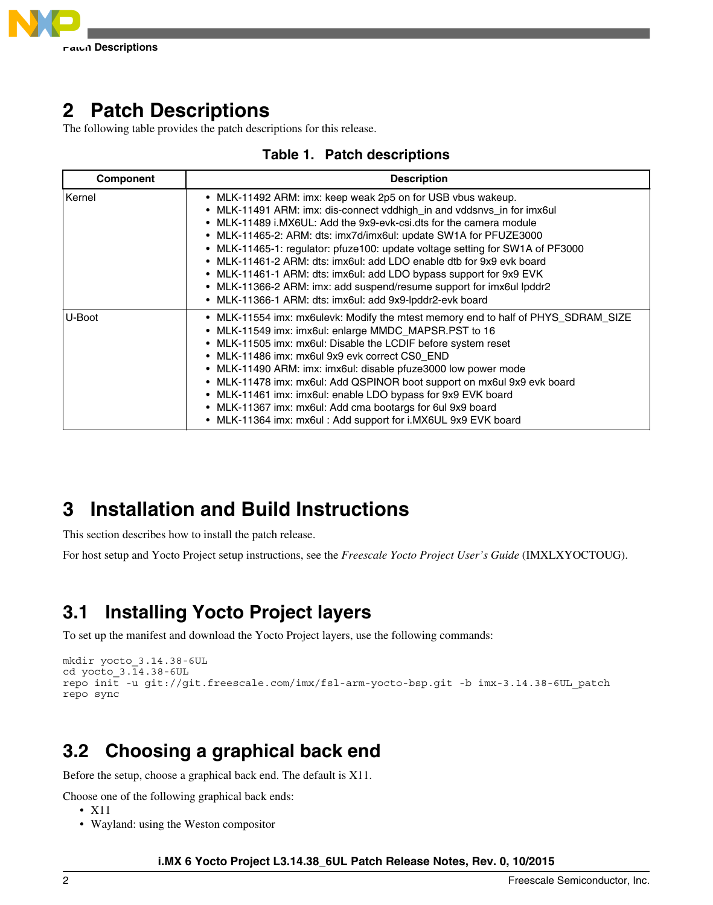<span id="page-1-0"></span>

## **2 Patch Descriptions**

The following table provides the patch descriptions for this release.

| <b>Table 1. Patch descriptions</b> |  |  |  |
|------------------------------------|--|--|--|
|------------------------------------|--|--|--|

| <b>Component</b> | <b>Description</b>                                                                                                                                                                                                                                                                                                                                                                                                                                                                                                                                                                                                                                 |
|------------------|----------------------------------------------------------------------------------------------------------------------------------------------------------------------------------------------------------------------------------------------------------------------------------------------------------------------------------------------------------------------------------------------------------------------------------------------------------------------------------------------------------------------------------------------------------------------------------------------------------------------------------------------------|
| ∣Kernel          | • MLK-11492 ARM: imx: keep weak 2p5 on for USB vbus wakeup.<br>• MLK-11491 ARM: imx: dis-connect vddhigh in and vddsnys in for imx6ul<br>• MLK-11489 i.MX6UL: Add the 9x9-evk-csi.dts for the camera module<br>• MLK-11465-2: ARM: dts: imx7d/imx6ul: update SW1A for PFUZE3000<br>• MLK-11465-1: regulator: pfuze100: update voltage setting for SW1A of PF3000<br>• MLK-11461-2 ARM: dts: imx6ul: add LDO enable dtb for 9x9 evk board<br>• MLK-11461-1 ARM: dts: imx6ul: add LDO bypass support for 9x9 EVK<br>• MLK-11366-2 ARM: imx: add suspend/resume support for imx6ul lpddr2<br>• MLK-11366-1 ARM: dts: imx6ul: add 9x9-lpddr2-evk board |
| U-Boot           | • MLK-11554 imx: mx6ulevk: Modify the mtest memory end to half of PHYS_SDRAM_SIZE<br>• MLK-11549 imx: imx6ul: enlarge MMDC_MAPSR.PST to 16<br>• MLK-11505 imx: mx6ul: Disable the LCDIF before system reset<br>• MLK-11486 imx: mx6ul 9x9 evk correct CS0 END<br>• MLK-11490 ARM: imx: imx6ul: disable pfuze3000 low power mode<br>• MLK-11478 imx: mx6ul: Add QSPINOR boot support on mx6ul 9x9 evk board<br>• MLK-11461 imx: imx6ul: enable LDO bypass for 9x9 EVK board<br>• MLK-11367 imx: mx6ul: Add cma bootargs for 6ul 9x9 board<br>• MLK-11364 imx: mx6ul: Add support for i.MX6UL 9x9 EVK board                                          |

# **3 Installation and Build Instructions**

This section describes how to install the patch release.

For host setup and Yocto Project setup instructions, see the *Freescale Yocto Project User's Guide* (IMXLXYOCTOUG).

### **3.1 Installing Yocto Project layers**

To set up the manifest and download the Yocto Project layers, use the following commands:

```
mkdir yocto_3.14.38-6UL
cd yocto_3.14.38-6UL
repo init -u git://git.freescale.com/imx/fsl-arm-yocto-bsp.git -b imx-3.14.38-6UL_patch
repo sync
```
# **3.2 Choosing a graphical back end**

Before the setup, choose a graphical back end. The default is X11.

Choose one of the following graphical back ends:

- X11
- Wayland: using the Weston compositor

**i.MX 6 Yocto Project L3.14.38\_6UL Patch Release Notes, Rev. 0, 10/2015**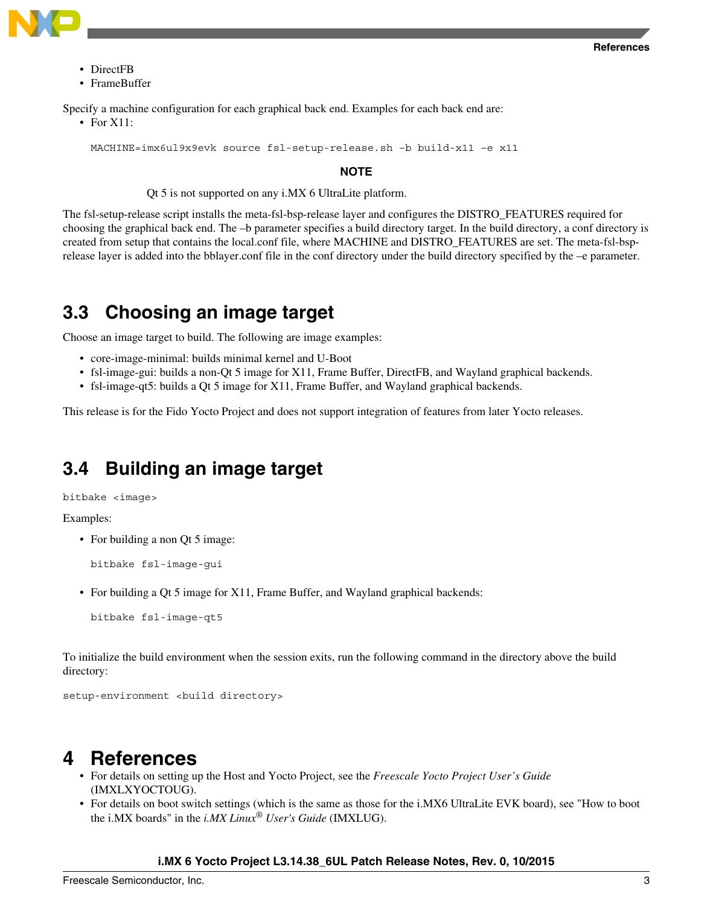<span id="page-2-0"></span>

- DirectFB
- FrameBuffer

Specify a machine configuration for each graphical back end. Examples for each back end are:

• For X11:

MACHINE=imx6ul9x9evk source fsl-setup-release.sh –b build-x11 –e x11

#### **NOTE**

Qt 5 is not supported on any i.MX 6 UltraLite platform.

The fsl-setup-release script installs the meta-fsl-bsp-release layer and configures the DISTRO\_FEATURES required for choosing the graphical back end. The –b parameter specifies a build directory target. In the build directory, a conf directory is created from setup that contains the local.conf file, where MACHINE and DISTRO\_FEATURES are set. The meta-fsl-bsprelease layer is added into the bblayer.conf file in the conf directory under the build directory specified by the –e parameter.

### **3.3 Choosing an image target**

Choose an image target to build. The following are image examples:

- core-image-minimal: builds minimal kernel and U-Boot
- fsl-image-gui: builds a non-Qt 5 image for X11, Frame Buffer, DirectFB, and Wayland graphical backends.
- fsl-image-qt5: builds a Qt 5 image for X11, Frame Buffer, and Wayland graphical backends.

This release is for the Fido Yocto Project and does not support integration of features from later Yocto releases.

### **3.4 Building an image target**

bitbake <image>

Examples:

• For building a non Ot 5 image:

```
bitbake fsl-image-gui
```
• For building a Qt 5 image for X11, Frame Buffer, and Wayland graphical backends:

```
bitbake fsl-image-qt5
```
To initialize the build environment when the session exits, run the following command in the directory above the build directory:

setup-environment <br/> <br/>kbuild directory>

### **4 References**

- For details on setting up the Host and Yocto Project, see the *Freescale Yocto Project User's Guide* (IMXLXYOCTOUG).
- For details on boot switch settings (which is the same as those for the i.MX6 UltraLite EVK board), see "How to boot the i.MX boards" in the *i.MX Linux® User's Guide* (IMXLUG).

#### **i.MX 6 Yocto Project L3.14.38\_6UL Patch Release Notes, Rev. 0, 10/2015**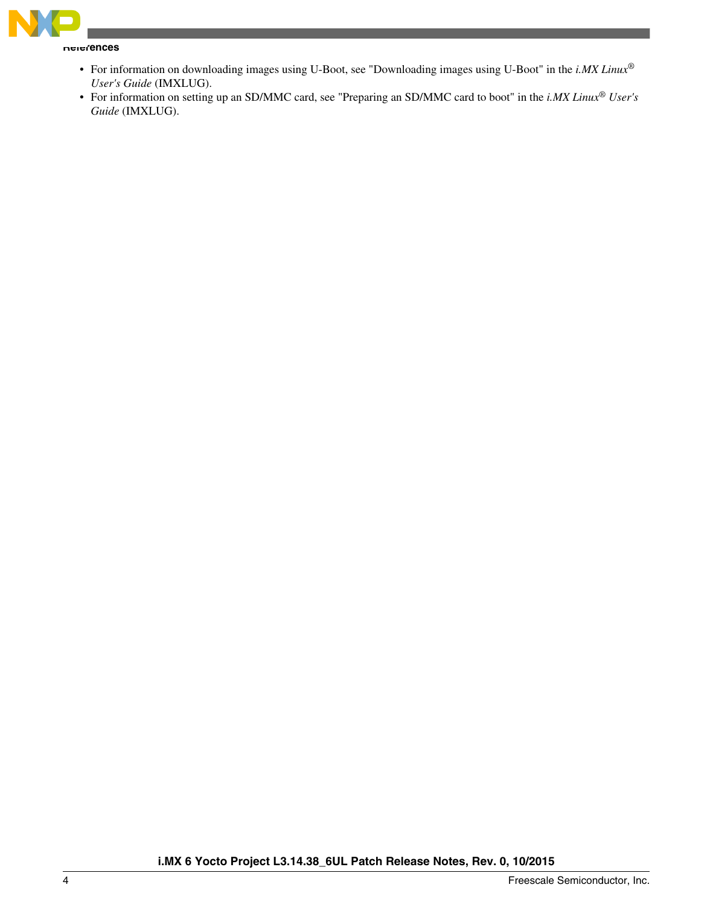

**References**

- For information on downloading images using U-Boot, see "Downloading images using U-Boot" in the *i.MX Linux® User's Guide* (IMXLUG).
- For information on setting up an SD/MMC card, see "Preparing an SD/MMC card to boot" in the *i.MX Linux® User's Guide* (IMXLUG).